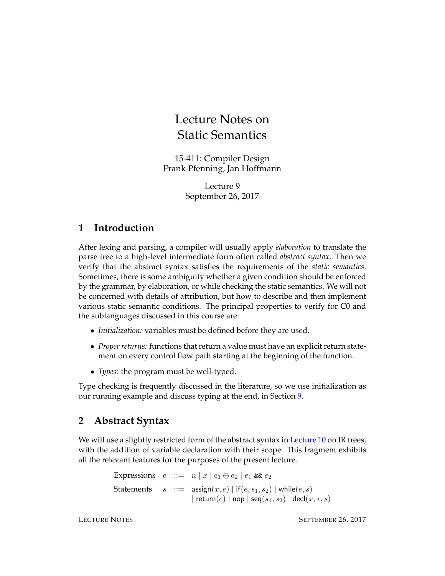# Lecture Notes on Static Semantics

15-411: Compiler Design Frank Pfenning, Jan Hoffmann

> Lecture 9 September 26, 2017

## **1 Introduction**

After lexing and parsing, a compiler will usually apply *elaboration* to translate the parse tree to a high-level intermediate form often called *abstract syntax*. Then we verify that the abstract syntax satisfies the requirements of the *static semantics*. Sometimes, there is some ambiguity whether a given condition should be enforced by the grammar, by elaboration, or while checking the static semantics. We will not be concerned with details of attribution, but how to describe and then implement various static semantic conditions. The principal properties to verify for C0 and the sublanguages discussed in this course are:

- *Initialization:* variables must be defined before they are used.
- *Proper returns:* functions that return a value must have an explicit return statement on every control flow path starting at the beginning of the function.
- *Types:* the program must be well-typed.

Type checking is frequently discussed in the literature, so we use initialization as our running example and discuss typing at the end, in Section [9.](#page-7-0)

# **2 Abstract Syntax**

We will use a slightly restricted form of the abstract syntax in [Lecture 10](http://www.cs.cmu.edu/~janh/courses/411/17/lec/10-irtrees.pdf) on IR trees, with the addition of variable declaration with their scope. This fragment exhibits all the relevant features for the purposes of the present lecture.

> Expressions  $e ::= n | x | e_1 \oplus e_2 | e_1 \& e_2$ Statements  $s ::= \text{assign}(x, e) | \text{ if}(e, s_1, s_2) | \text{ while}(e, s)$ | return $(e)$  | nop | seq $(s_1, s_2)$  | decl $(x, \tau, s)$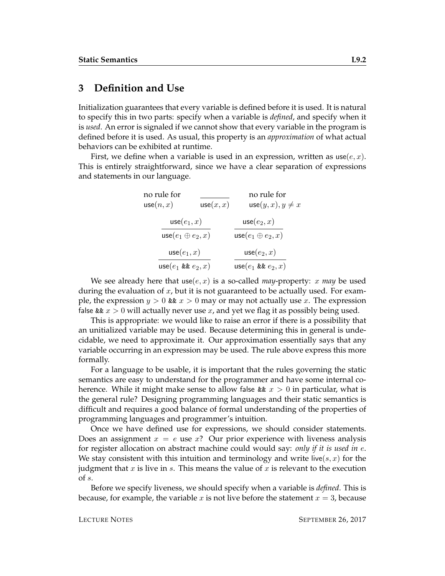#### **3 Definition and Use**

Initialization guarantees that every variable is defined before it is used. It is natural to specify this in two parts: specify when a variable is *defined*, and specify when it is *used*. An error is signaled if we cannot show that every variable in the program is defined before it is used. As usual, this property is an *approximation* of what actual behaviors can be exhibited at runtime.

First, we define when a variable is used in an expression, written as use $(e, x)$ . This is entirely straightforward, since we have a clear separation of expressions and statements in our language.

| no rule for<br>use $(n,x)$ | use(x, x) | no rule for<br>$use(y, x), y \neq x$ |  |
|----------------------------|-----------|--------------------------------------|--|
| $use(e_1, x)$              |           | $use(e_2, x)$                        |  |
| use $(e_1 \oplus e_2, x)$  |           | use $(e_1 \oplus e_2, x)$            |  |
| $use(e_1, x)$              |           | $use(e_2, x)$                        |  |
| use $(e_1 \& e_2, x)$      |           | use $(e_1 \& e_2, x)$                |  |

We see already here that use $(e, x)$  is a so-called *may*-property: x *may* be used during the evaluation of  $x$ , but it is not guaranteed to be actually used. For example, the expression  $y > 0$  &  $x > 0$  may or may not actually use x. The expression false &  $x > 0$  will actually never use x, and yet we flag it as possibly being used.

This is appropriate: we would like to raise an error if there is a possibility that an unitialized variable may be used. Because determining this in general is undecidable, we need to approximate it. Our approximation essentially says that any variable occurring in an expression may be used. The rule above express this more formally.

For a language to be usable, it is important that the rules governing the static semantics are easy to understand for the programmer and have some internal coherence. While it might make sense to allow false &  $x > 0$  in particular, what is the general rule? Designing programming languages and their static semantics is difficult and requires a good balance of formal understanding of the properties of programming languages and programmer's intuition.

Once we have defined use for expressions, we should consider statements. Does an assignment  $x = e$  use x? Our prior experience with liveness analysis for register allocation on abstract machine could would say: *only if it is used in* e. We stay consistent with this intuition and terminology and write live(s, x) for the judgment that x is live in s. This means the value of x is relevant to the execution of s.

Before we specify liveness, we should specify when a variable is *defined*. This is because, for example, the variable x is not live before the statement  $x = 3$ , because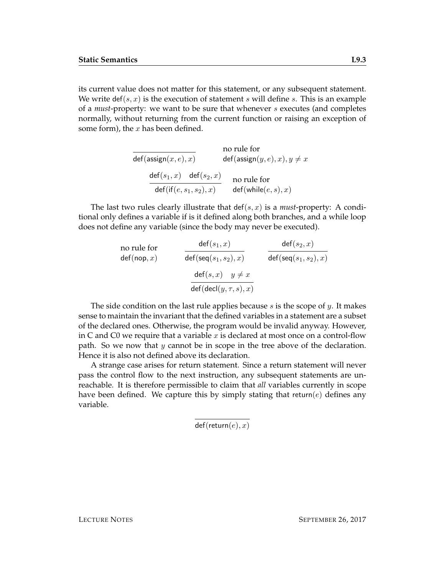its current value does not matter for this statement, or any subsequent statement. We write def(s, x) is the execution of statement s will define s. This is an example of a *must*-property: we want to be sure that whenever s executes (and completes normally, without returning from the current function or raising an exception of some form), the  $x$  has been defined.

| def(assign $(x, e), x$ )                    | no rule for<br>$def(assign(y, e), x), y \neq x$ |
|---------------------------------------------|-------------------------------------------------|
| $\mathsf{def}(s_1,x)$ $\mathsf{def}(s_2,x)$ | no rule for                                     |
| $def(if(e, s_1, s_2), x)$                   | def(while (e, s), x)                            |

The last two rules clearly illustrate that  $\text{def}(s, x)$  is a *must*-property: A conditional only defines a variable if is it defined along both branches, and a while loop does not define any variable (since the body may never be executed).

no rule for  
\n
$$
\det(\text{nop}, x) \qquad \frac{\det(s_1, x)}{\det(\text{seq}(s_1, s_2), x)} \qquad \frac{\det(s_2, x)}{\det(\text{seq}(s_1, s_2), x)}
$$
\n
$$
\frac{\det(s, x) \quad y \neq x}{\det(\text{decl}(y, \tau, s), x)}
$$

The side condition on the last rule applies because  $s$  is the scope of  $y$ . It makes sense to maintain the invariant that the defined variables in a statement are a subset of the declared ones. Otherwise, the program would be invalid anyway. However, in C and C0 we require that a variable  $x$  is declared at most once on a control-flow path. So we now that  $y$  cannot be in scope in the tree above of the declaration. Hence it is also not defined above its declaration.

A strange case arises for return statement. Since a return statement will never pass the control flow to the next instruction, any subsequent statements are unreachable. It is therefore permissible to claim that *all* variables currently in scope have been defined. We capture this by simply stating that return( $e$ ) defines any variable.

 $def(return(e), x)$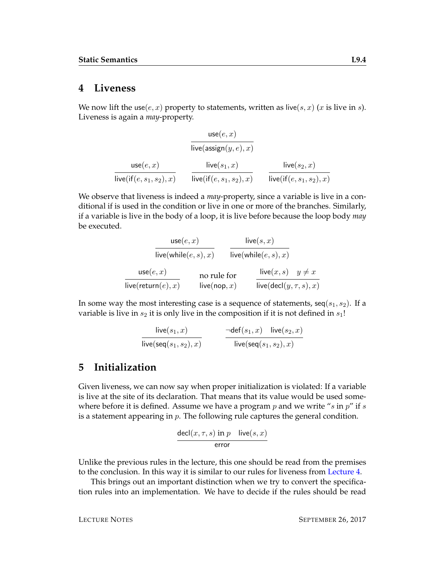#### **4 Liveness**

We now lift the use $(e, x)$  property to statements, written as live $(s, x)$   $(x$  is live in  $s$ ). Liveness is again a *may*-property.

$$
\frac{\text{use}(e,x)}{\text{live}(\text{assign}(y,e),x)}
$$
\n
$$
\frac{\text{use}(e,x)}{\text{live}(\text{if}(e,s_1,s_2),x)} \quad \frac{\text{live}(s_1,x)}{\text{live}(\text{if}(e,s_1,s_2),x)} \quad \frac{\text{live}(s_2,x)}{\text{live}(\text{if}(e,s_1,s_2),x)}
$$

We observe that liveness is indeed a *may*-property, since a variable is live in a conditional if is used in the condition or live in one or more of the branches. Similarly, if a variable is live in the body of a loop, it is live before because the loop body *may* be executed.

$$
\frac{\text{use}(e, x)}{\text{live}(\text{while}(e, s), x)} \quad \frac{\text{live}(s, x)}{\text{live}(\text{while}(e, s), x)}
$$
\n
$$
\frac{\text{use}(e, x)}{\text{live}(\text{return}(e), x)} \quad \text{no rule for} \quad \frac{\text{live}(x, s) \quad y \neq x}{\text{live}(\text{decl}(y, \tau, s), x)}
$$

In some way the most interesting case is a sequence of statements,  $seq(s_1, s_2)$ . If a variable is live in  $s_2$  it is only live in the composition if it is not defined in  $s_1!$ 

$$
\frac{\mathsf{live}(s_1,x)}{\mathsf{live}(\mathsf{seq}(s_1,s_2),x)} \qquad \qquad \frac{\neg \mathsf{def}(s_1,x) \quad \mathsf{live}(s_2,x)}{\mathsf{live}(\mathsf{seq}(s_1,s_2),x)}
$$

### **5 Initialization**

Given liveness, we can now say when proper initialization is violated: If a variable is live at the site of its declaration. That means that its value would be used somewhere before it is defined. Assume we have a program p and we write "s in  $p''$  if s is a statement appearing in  $p$ . The following rule captures the general condition.

$$
\frac{\mathsf{decl}(x,\tau,s)\text{ in }p\quad \mathsf{live}(s,x)}{\text{error}}
$$

Unlike the previous rules in the lecture, this one should be read from the premises to the conclusion. In this way it is similar to our rules for liveness from [Lecture 4.](http:/http://www.cs.cmu.edu/~janh/courses/411/17/lec/04-liveness.pdf)

This brings out an important distinction when we try to convert the specification rules into an implementation. We have to decide if the rules should be read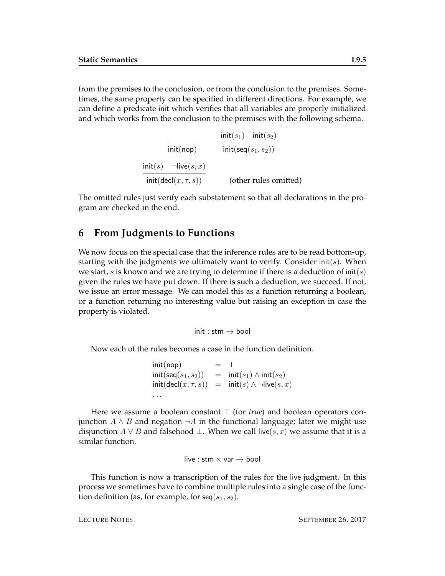from the premises to the conclusion, or from the conclusion to the premises. Sometimes, the same property can be specified in different directions. For example, we can define a predicate init which verifies that all variables are properly initialized and which works from the conclusion to the premises with the following schema.

> init(nop)  ${\sf init}(s_1)$   ${\sf init}(s_2)$  ${\sf init}({\sf seq}(s_1,s_2))$  $\mathsf{init}(s)$   $\neg \mathsf{live}(s,x)$  $\mathsf{init}(\mathsf{decl}(x,\tau,s))$  (other rules omitted)

The omitted rules just verify each substatement so that all declarations in the program are checked in the end.

#### **6 From Judgments to Functions**

We now focus on the special case that the inference rules are to be read bottom-up, starting with the judgments we ultimately want to verify. Consider  $init(s)$ . When we start, s is known and we are trying to determine if there is a deduction of  $init(s)$ given the rules we have put down. If there is such a deduction, we succeed. If not, we issue an error message. We can model this as a function returning a boolean, or a function returning no interesting value but raising an exception in case the property is violated.

init : stm  $\rightarrow$  bool

Now each of the rules becomes a case in the function definition.

 $init(np)$  =  $\top$  $\mathsf{init}(\mathsf{seq}(s_1,s_2)) = \mathsf{init}(s_1) \land \mathsf{init}(s_2)$  $\mathsf{init}(\mathsf{decl}(x,\tau,s)) = \mathsf{init}(s) \land \neg \mathsf{live}(s,x)$ . . .

Here we assume a boolean constant  $\top$  (for *true*) and boolean operators conjunction *A* ∧ *B* and negation  $\neg$ *A* in the functional language; later we might use disjunction  $A ∨ B$  and falsehood  $\bot$ . When we call live(s, x) we assume that it is a similar function.

live : stm  $\times$  var  $\rightarrow$  bool

This function is now a transcription of the rules for the live judgment. In this process we sometimes have to combine multiple rules into a single case of the function definition (as, for example, for seq( $s_1, s_2$ ).

LECTURE NOTES SEPTEMBER 26, 2017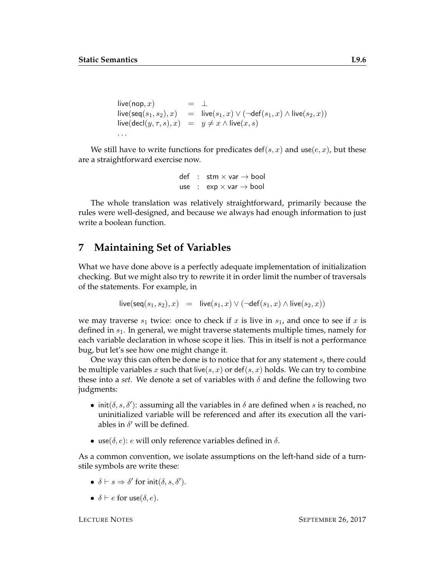```
live(nop, x) = \perp\textsf{live}(\textsf{seq}(s_1, s_2), x) = \textsf{live}(s_1, x) \vee (\neg \textsf{def}(s_1, x) \wedge \textsf{live}(s_2, x))live(det(y, \tau, s), x) = y \neq x \land live(x, s). . .
```
We still have to write functions for predicates def(s, x) and use(e, x), but these are a straightforward exercise now.

```
def : stm \times var \rightarrow bool
use : exp \times var \rightarrow bool
```
The whole translation was relatively straightforward, primarily because the rules were well-designed, and because we always had enough information to just write a boolean function.

#### **7 Maintaining Set of Variables**

What we have done above is a perfectly adequate implementation of initialization checking. But we might also try to rewrite it in order limit the number of traversals of the statements. For example, in

$$
\mathsf{live}(\mathsf{seq}(s_1,s_2),x) = \mathsf{live}(s_1,x) \lor (\neg \mathsf{def}(s_1,x) \land \mathsf{live}(s_2,x))
$$

we may traverse  $s_1$  twice: once to check if x is live in  $s_1$ , and once to see if x is defined in  $s<sub>1</sub>$ . In general, we might traverse statements multiple times, namely for each variable declaration in whose scope it lies. This in itself is not a performance bug, but let's see how one might change it.

One way this can often be done is to notice that for any statement s, there could be multiple variables x such that live( $s, x$ ) or def( $s, x$ ) holds. We can try to combine these into a *set*. We denote a set of variables with  $\delta$  and define the following two judgments:

- init( $\delta$ ,  $s$ ,  $\delta'$ ): assuming all the variables in  $\delta$  are defined when s is reached, no uninitialized variable will be referenced and after its execution all the variables in  $\delta'$  will be defined.
- use( $\delta$ , e): e will only reference variables defined in  $\delta$ .

As a common convention, we isolate assumptions on the left-hand side of a turnstile symbols are write these:

- $\delta \vdash s \Rightarrow \delta'$  for  $init(\delta, s, \delta').$
- $\delta \vdash e$  for use( $\delta, e$ ).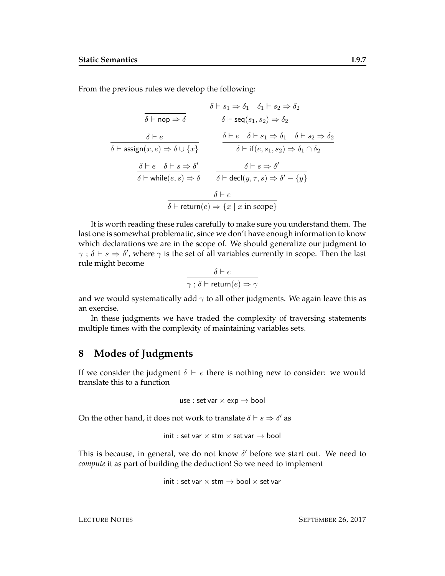From the previous rules we develop the following:

$$
\begin{array}{ccc}\n\delta \vdash \mathsf{nop} \Rightarrow \delta & \delta \vdash s_1 \Rightarrow \delta_1 & \delta_1 \vdash s_2 \Rightarrow \delta_2 \\
\hline\n\delta \vdash \mathsf{nop} \Rightarrow \delta & \delta \vdash \mathsf{seq}(s_1, s_2) \Rightarrow \delta_2 \\
\hline\n\delta \vdash \mathsf{assign}(x, e) \Rightarrow \delta \cup \{x\} & \delta \vdash e & \delta \vdash s_1 \Rightarrow \delta_1 & \delta \vdash s_2 \Rightarrow \delta_2 \\
\hline\n\delta \vdash e & \delta \vdash s \Rightarrow \delta' & \delta \vdash \mathsf{if}(e, s_1, s_2) \Rightarrow \delta_1 \cap \delta_2 \\
\hline\n\delta \vdash \mathsf{while}(e, s) \Rightarrow \delta & \delta \vdash \mathsf{decl}(y, \tau, s) \Rightarrow \delta' - \{y\} \\
\hline\n\delta \vdash \mathsf{return}(e) \Rightarrow \{x \mid x \text{ in scope}\}\n\end{array}
$$

It is worth reading these rules carefully to make sure you understand them. The last one is somewhat problematic, since we don't have enough information to know which declarations we are in the scope of. We should generalize our judgment to  $\gamma$ ;  $\delta \vdash s \Rightarrow \delta'$ , where  $\gamma$  is the set of all variables currently in scope. Then the last rule might become

$$
\frac{\delta \vdash e}{\gamma \text{ ; } \delta \vdash \text{return}(e) \Rightarrow \gamma}
$$

and we would systematically add  $\gamma$  to all other judgments. We again leave this as an exercise.

In these judgments we have traded the complexity of traversing statements multiple times with the complexity of maintaining variables sets.

### **8 Modes of Judgments**

If we consider the judgment  $\delta \vdash e$  there is nothing new to consider: we would translate this to a function

$$
use: set \, var \times exp \to bool
$$

On the other hand, it does not work to translate  $\delta \vdash s \Rightarrow \delta'$  as

$$
\mathsf{init} : \mathsf{set}\, \mathsf{var} \times \mathsf{stm} \times \mathsf{set}\, \mathsf{var} \to \mathsf{bool}
$$

This is because, in general, we do not know  $\delta'$  before we start out. We need to *compute* it as part of building the deduction! So we need to implement

$$
\mathsf{init} : \mathsf{set}\, \mathsf{var} \times \mathsf{stm} \to \mathsf{bool} \times \mathsf{set}\, \mathsf{var}
$$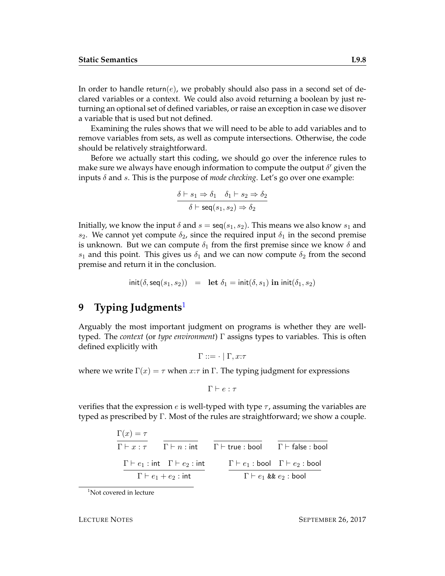In order to handle return(e), we probably should also pass in a second set of declared variables or a context. We could also avoid returning a boolean by just returning an optional set of defined variables, or raise an exception in case we disover a variable that is used but not defined.

Examining the rules shows that we will need to be able to add variables and to remove variables from sets, as well as compute intersections. Otherwise, the code should be relatively straightforward.

Before we actually start this coding, we should go over the inference rules to make sure we always have enough information to compute the output  $\delta'$  given the inputs  $\delta$  and  $s$ . This is the purpose of *mode checking*. Let's go over one example:

$$
\frac{\delta \vdash s_1 \Rightarrow \delta_1 \quad \delta_1 \vdash s_2 \Rightarrow \delta_2}{\delta \vdash \textsf{seq}(s_1, s_2) \Rightarrow \delta_2}
$$

Initially, we know the input  $\delta$  and  $s = \text{seq}(s_1, s_2)$ . This means we also know  $s_1$  and s<sub>2</sub>. We cannot yet compute  $\delta_2$ , since the required input  $\delta_1$  in the second premise is unknown. But we can compute  $\delta_1$  from the first premise since we know  $\delta$  and  $s_1$  and this point. This gives us  $\delta_1$  and we can now compute  $\delta_2$  from the second premise and return it in the conclusion.

$$
\mathsf{init}(\delta, \mathsf{seq}(s_1, s_2)) = \mathsf{let}\ \delta_1 = \mathsf{init}(\delta, s_1)\ \mathbf{in}\ \mathsf{init}(\delta_1, s_2)
$$

# <span id="page-7-0"></span>**9 Typing Judgments**[1](#page-7-1)

Arguably the most important judgment on programs is whether they are welltyped. The *context* (or *type environment*) Γ assigns types to variables. This is often defined explicitly with

 $\Gamma ::= \cdot | \Gamma, x:\tau$ 

where we write  $\Gamma(x) = \tau$  when  $x:\tau$  in  $\Gamma$ . The typing judgment for expressions

 $\Gamma \vdash e : \tau$ 

verifies that the expression e is well-typed with type  $\tau$ , assuming the variables are typed as prescribed by Γ. Most of the rules are straightforward; we show a couple.

> $\Gamma(x) = \tau$  $\overline{\Gamma \vdash x : \tau}$   $\overline{\Gamma \vdash n : \text{int}}$   $\overline{\Gamma \vdash \text{true : bool}}$   $\overline{\Gamma \vdash \text{false : bool}}$  $\Gamma \vdash e_1 : \mathsf{int} \quad \Gamma \vdash e_2 : \mathsf{int} \qquad \quad \Gamma \vdash e_1 : \mathsf{bool} \quad \Gamma \vdash e_2 : \mathsf{bool}$  $\Gamma \vdash e_1 + e_2 : \mathsf{int}$  $\overline{\Gamma \vdash e_1 \text{ k\& e_2}}$  : bool

<span id="page-7-1"></span> $1$ Not covered in lecture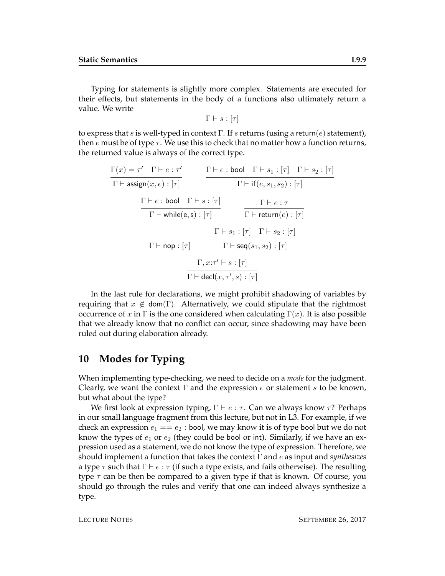Typing for statements is slightly more complex. Statements are executed for their effects, but statements in the body of a functions also ultimately return a value. We write

 $\Gamma \vdash s : [\tau]$ 

to express that s is well-typed in context  $\Gamma$ . If s returns (using a return(e) statement), then  $e$  must be of type  $\tau$ . We use this to check that no matter how a function returns, the returned value is always of the correct type.

$$
\frac{\Gamma(x) = \tau' \quad \Gamma \vdash e : \tau'}{\Gamma \vdash \text{assign}(x, e) : [\tau]} \qquad \frac{\Gamma \vdash e : \text{bool} \quad \Gamma \vdash s_1 : [\tau] \quad \Gamma \vdash s_2 : [\tau]}{\Gamma \vdash \text{if}(e, s_1, s_2) : [\tau]}
$$
\n
$$
\frac{\Gamma \vdash e : \text{bool} \quad \Gamma \vdash s : [\tau]}{\Gamma \vdash \text{while}(e, s) : [\tau]} \qquad \frac{\Gamma \vdash e : \tau}{\Gamma \vdash \text{return}(e) : [\tau]}
$$
\n
$$
\frac{\Gamma \vdash s_1 : [\tau] \quad \Gamma \vdash s_2 : [\tau]}{\Gamma \vdash \text{seq}(s_1, s_2) : [\tau]}
$$
\n
$$
\frac{\Gamma, x : \tau' \vdash s : [\tau]}{\Gamma \vdash \text{decl}(x, \tau', s) : [\tau]}
$$

In the last rule for declarations, we might prohibit shadowing of variables by requiring that  $x \notin \text{dom}(\Gamma)$ . Alternatively, we could stipulate that the rightmost occurrence of x in  $\Gamma$  is the one considered when calculating  $\Gamma(x)$ . It is also possible that we already know that no conflict can occur, since shadowing may have been ruled out during elaboration already.

#### **10 Modes for Typing**

When implementing type-checking, we need to decide on a *mode* for the judgment. Clearly, we want the context  $\Gamma$  and the expression e or statement s to be known, but what about the type?

We first look at expression typing,  $\Gamma \vdash e : \tau$ . Can we always know  $\tau$ ? Perhaps in our small language fragment from this lecture, but not in L3. For example, if we check an expression  $e_1 == e_2 :$  bool, we may know it is of type bool but we do not know the types of  $e_1$  or  $e_2$  (they could be bool or int). Similarly, if we have an expression used as a statement, we do not know the type of expression. Therefore, we should implement a function that takes the context Γ and e as input and *synthesizes* a type  $\tau$  such that  $\Gamma \vdash e : \tau$  (if such a type exists, and fails otherwise). The resulting type  $\tau$  can be then be compared to a given type if that is known. Of course, you should go through the rules and verify that one can indeed always synthesize a type.